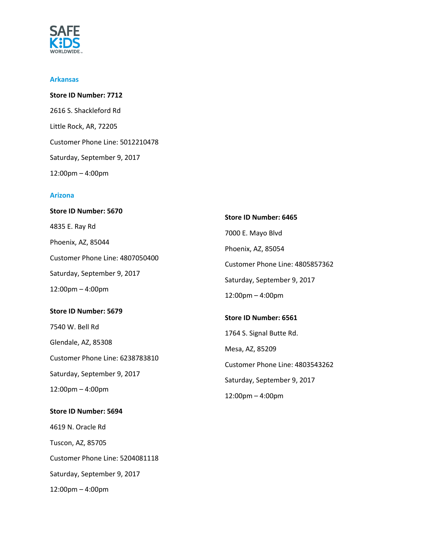

#### **Arkansas**

**Store ID Number: 7712** 2616 S. Shackleford Rd Little Rock, AR, 72205 Customer Phone Line: 5012210478 Saturday, September 9, 2017 12:00pm – 4:00pm

### **Arizona**

**Store ID Number: 5670** 4835 E. Ray Rd Phoenix, AZ, 85044 Customer Phone Line: 4807050400 Saturday, September 9, 2017 12:00pm – 4:00pm **Store ID Number: 5679** 7540 W. Bell Rd Glendale, AZ, 85308 Customer Phone Line: 6238783810 Saturday, September 9, 2017 12:00pm – 4:00pm **Store ID Number: 5694** 4619 N. Oracle Rd **Store ID Number: 6465** 7000 E. Mayo Blvd Phoenix, AZ, 85054 Customer Phone Line: 4805857362 Saturday, September 9, 2017 12:00pm – 4:00pm **Store ID Number: 6561** 1764 S. Signal Butte Rd. Mesa, AZ, 85209 Customer Phone Line: 4803543262 Saturday, September 9, 2017 12:00pm – 4:00pm

Tuscon, AZ, 85705 Customer Phone Line: 5204081118 Saturday, September 9, 2017

12:00pm – 4:00pm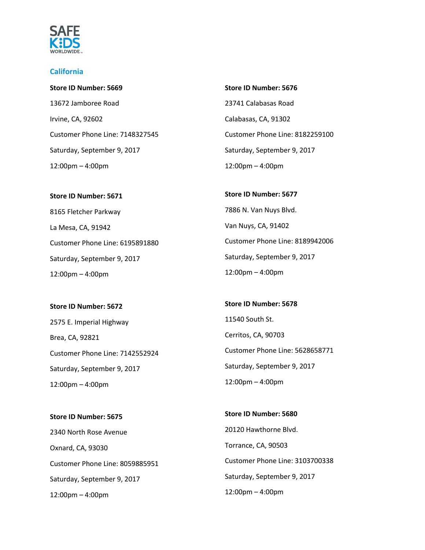

### **California**

**Store ID Number: 5669** 13672 Jamboree Road Irvine, CA, 92602 Customer Phone Line: 7148327545 Saturday, September 9, 2017 12:00pm – 4:00pm

**Store ID Number: 5671** 8165 Fletcher Parkway La Mesa, CA, 91942 Customer Phone Line: 6195891880 Saturday, September 9, 2017

## **Store ID Number: 5672**

12:00pm – 4:00pm

2575 E. Imperial Highway Brea, CA, 92821 Customer Phone Line: 7142552924 Saturday, September 9, 2017 12:00pm – 4:00pm

**Store ID Number: 5675** 2340 North Rose Avenue Oxnard, CA, 93030 Customer Phone Line: 8059885951 Saturday, September 9, 2017 12:00pm – 4:00pm

**Store ID Number: 5676** 23741 Calabasas Road Calabasas, CA, 91302 Customer Phone Line: 8182259100 Saturday, September 9, 2017 12:00pm – 4:00pm

**Store ID Number: 5677** 7886 N. Van Nuys Blvd. Van Nuys, CA, 91402 Customer Phone Line: 8189942006 Saturday, September 9, 2017 12:00pm – 4:00pm

**Store ID Number: 5678** 11540 South St. Cerritos, CA, 90703 Customer Phone Line: 5628658771 Saturday, September 9, 2017 12:00pm – 4:00pm

**Store ID Number: 5680** 20120 Hawthorne Blvd. Torrance, CA, 90503 Customer Phone Line: 3103700338 Saturday, September 9, 2017 12:00pm – 4:00pm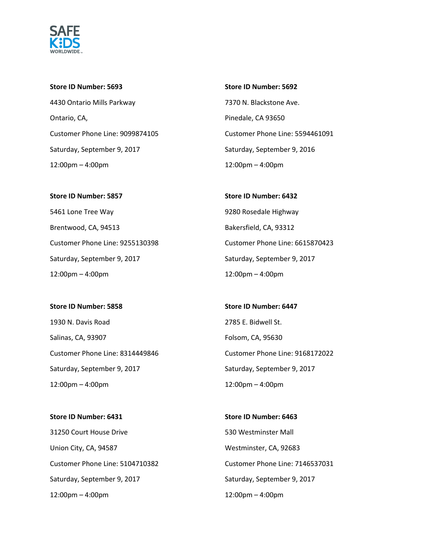

## **Store ID Number: 5693**

4430 Ontario Mills Parkway Ontario, CA, Customer Phone Line: 9099874105 Saturday, September 9, 2017 12:00pm – 4:00pm

**Store ID Number: 5692** 7370 N. Blackstone Ave. Pinedale, CA 93650 Customer Phone Line: 5594461091 Saturday, September 9, 2016 12:00pm – 4:00pm

**Store ID Number: 5857** 5461 Lone Tree Way Brentwood, CA, 94513 Customer Phone Line: 9255130398 Saturday, September 9, 2017 12:00pm – 4:00pm

**Store ID Number: 5858** 1930 N. Davis Road Salinas, CA, 93907 Customer Phone Line: 8314449846 Saturday, September 9, 2017 12:00pm – 4:00pm

**Store ID Number: 6431** 31250 Court House Drive Union City, CA, 94587 Customer Phone Line: 5104710382 Saturday, September 9, 2017 12:00pm – 4:00pm

**Store ID Number: 6432** 9280 Rosedale Highway Bakersfield, CA, 93312 Customer Phone Line: 6615870423 Saturday, September 9, 2017 12:00pm – 4:00pm

**Store ID Number: 6447** 2785 E. Bidwell St. Folsom, CA, 95630 Customer Phone Line: 9168172022 Saturday, September 9, 2017 12:00pm – 4:00pm

**Store ID Number: 6463** 530 Westminster Mall Westminster, CA, 92683 Customer Phone Line: 7146537031 Saturday, September 9, 2017 12:00pm – 4:00pm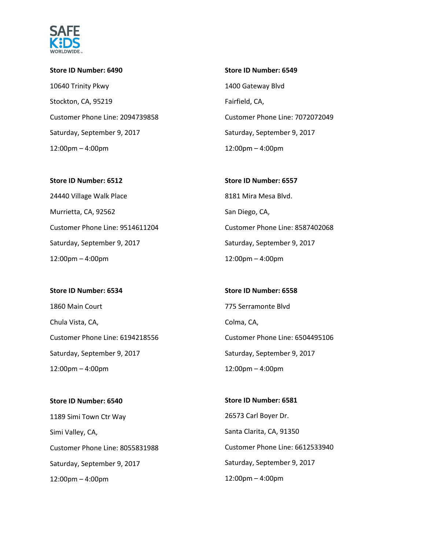

**Store ID Number: 6490** 10640 Trinity Pkwy Stockton, CA, 95219 Customer Phone Line: 2094739858 Saturday, September 9, 2017 12:00pm – 4:00pm

**Store ID Number: 6512** 24440 Village Walk Place Murrietta, CA, 92562 Customer Phone Line: 9514611204 Saturday, September 9, 2017 12:00pm – 4:00pm

**Store ID Number: 6534** 1860 Main Court Chula Vista, CA, Customer Phone Line: 6194218556 Saturday, September 9, 2017 12:00pm – 4:00pm

**Store ID Number: 6540** 1189 Simi Town Ctr Way Simi Valley, CA, Customer Phone Line: 8055831988 Saturday, September 9, 2017 12:00pm – 4:00pm

**Store ID Number: 6549** 1400 Gateway Blvd Fairfield, CA, Customer Phone Line: 7072072049 Saturday, September 9, 2017 12:00pm – 4:00pm

**Store ID Number: 6557** 8181 Mira Mesa Blvd. San Diego, CA, Customer Phone Line: 8587402068 Saturday, September 9, 2017 12:00pm – 4:00pm

**Store ID Number: 6558** 775 Serramonte Blvd Colma, CA, Customer Phone Line: 6504495106 Saturday, September 9, 2017 12:00pm – 4:00pm

**Store ID Number: 6581** 26573 Carl Boyer Dr. Santa Clarita, CA, 91350 Customer Phone Line: 6612533940 Saturday, September 9, 2017 12:00pm – 4:00pm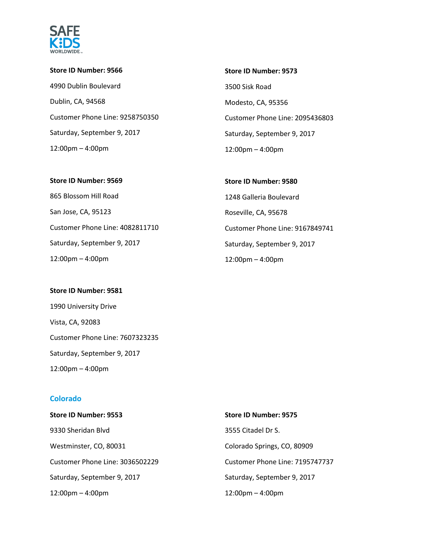

**Store ID Number: 9566** 4990 Dublin Boulevard Dublin, CA, 94568 Customer Phone Line: 9258750350 Saturday, September 9, 2017 12:00pm – 4:00pm

**Store ID Number: 9573** 3500 Sisk Road Modesto, CA, 95356 Customer Phone Line: 2095436803 Saturday, September 9, 2017 12:00pm – 4:00pm

# **Store ID Number: 9569** 865 Blossom Hill Road San Jose, CA, 95123 Customer Phone Line: 4082811710 Saturday, September 9, 2017 12:00pm – 4:00pm

**Store ID Number: 9581** 1990 University Drive Vista, CA, 92083 Customer Phone Line: 7607323235 Saturday, September 9, 2017 12:00pm – 4:00pm

## **Colorado**

**Store ID Number: 9553** 9330 Sheridan Blvd Westminster, CO, 80031 Customer Phone Line: 3036502229 Saturday, September 9, 2017 12:00pm – 4:00pm **Store ID Number: 9575** 3555 Citadel Dr S. Colorado Springs, CO, 80909 Customer Phone Line: 7195747737 Saturday, September 9, 2017 12:00pm – 4:00pm

**Store ID Number: 9580** 1248 Galleria Boulevard Roseville, CA, 95678 Customer Phone Line: 9167849741 Saturday, September 9, 2017 12:00pm – 4:00pm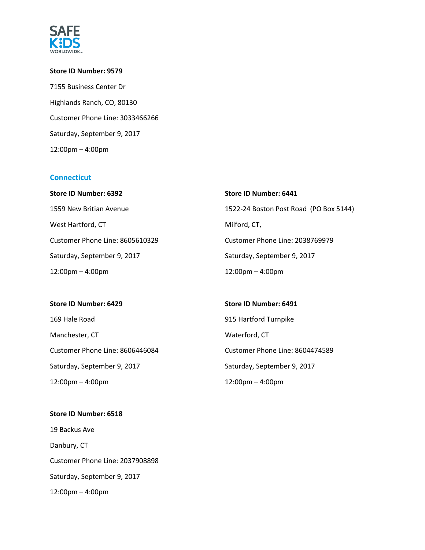

**Store ID Number: 9579** 7155 Business Center Dr Highlands Ranch, CO, 80130 Customer Phone Line: 3033466266 Saturday, September 9, 2017 12:00pm – 4:00pm

## **Connecticut**

| Store ID Number: 6392              | Store ID Number: 6441                  |
|------------------------------------|----------------------------------------|
| 1559 New Britian Avenue            | 1522-24 Boston Post Road (PO Box 5144) |
| West Hartford, CT                  | Milford, CT,                           |
| Customer Phone Line: 8605610329    | Customer Phone Line: 2038769979        |
| Saturday, September 9, 2017        | Saturday, September 9, 2017            |
| $12:00 \text{pm} - 4:00 \text{pm}$ | $12:00 \text{pm} - 4:00 \text{pm}$     |

#### **Store ID Number: 6429**

169 Hale Road Manchester, CT Customer Phone Line: 8606446084 Saturday, September 9, 2017 12:00pm – 4:00pm

## **Store ID Number: 6518**

19 Backus Ave Danbury, CT Customer Phone Line: 2037908898 Saturday, September 9, 2017 12:00pm – 4:00pm

## **Store ID Number: 6491**

915 Hartford Turnpike Waterford, CT Customer Phone Line: 8604474589 Saturday, September 9, 2017 12:00pm – 4:00pm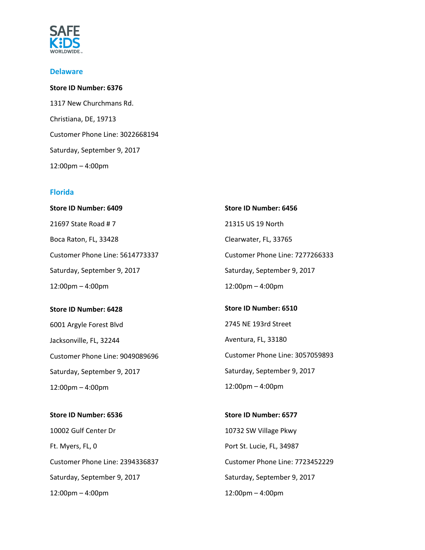

#### **Delaware**

# **Store ID Number: 6376** 1317 New Churchmans Rd. Christiana, DE, 19713 Customer Phone Line: 3022668194 Saturday, September 9, 2017 12:00pm – 4:00pm

### **Florida**

**Store ID Number: 6409** 21697 State Road # 7 Boca Raton, FL, 33428 Customer Phone Line: 5614773337 Saturday, September 9, 2017 12:00pm – 4:00pm **Store ID Number: 6456** 21315 US 19 North Clearwater, FL, 33765 Customer Phone Line: 7277266333 Saturday, September 9, 2017 12:00pm – 4:00pm

## **Store ID Number: 6428**

6001 Argyle Forest Blvd Jacksonville, FL, 32244 Customer Phone Line: 9049089696 Saturday, September 9, 2017 12:00pm – 4:00pm

**Store ID Number: 6536** 10002 Gulf Center Dr Ft. Myers, FL, 0 Customer Phone Line: 2394336837 Saturday, September 9, 2017 12:00pm – 4:00pm

**Store ID Number: 6510** 2745 NE 193rd Street Aventura, FL, 33180 Customer Phone Line: 3057059893 Saturday, September 9, 2017 12:00pm – 4:00pm

**Store ID Number: 6577** 10732 SW Village Pkwy Port St. Lucie, FL, 34987 Customer Phone Line: 7723452229 Saturday, September 9, 2017 12:00pm – 4:00pm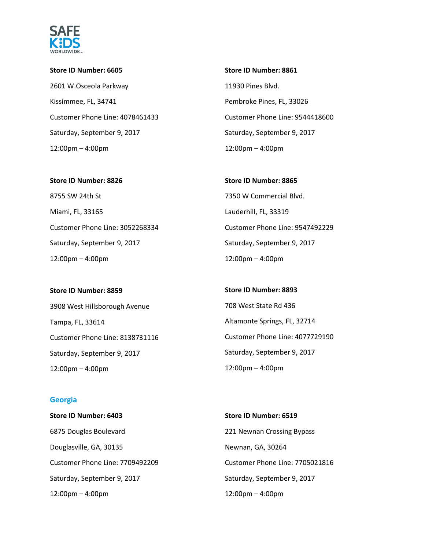

**Store ID Number: 6605** 2601 W.Osceola Parkway Kissimmee, FL, 34741 Customer Phone Line: 4078461433 Saturday, September 9, 2017 12:00pm – 4:00pm

**Store ID Number: 8826** 8755 SW 24th St Miami, FL, 33165 Customer Phone Line: 3052268334 Saturday, September 9, 2017 12:00pm – 4:00pm

**Store ID Number: 8859** 3908 West Hillsborough Avenue Tampa, FL, 33614 Customer Phone Line: 8138731116 Saturday, September 9, 2017 12:00pm – 4:00pm

**Store ID Number: 8861** 11930 Pines Blvd. Pembroke Pines, FL, 33026 Customer Phone Line: 9544418600 Saturday, September 9, 2017 12:00pm – 4:00pm

**Store ID Number: 8865** 7350 W Commercial Blvd. Lauderhill, FL, 33319 Customer Phone Line: 9547492229 Saturday, September 9, 2017 12:00pm – 4:00pm

**Store ID Number: 8893** 708 West State Rd 436 Altamonte Springs, FL, 32714 Customer Phone Line: 4077729190 Saturday, September 9, 2017 12:00pm – 4:00pm

### **Georgia**

**Store ID Number: 6403** 6875 Douglas Boulevard Douglasville, GA, 30135 Customer Phone Line: 7709492209 Saturday, September 9, 2017 12:00pm – 4:00pm

**Store ID Number: 6519** 221 Newnan Crossing Bypass Newnan, GA, 30264 Customer Phone Line: 7705021816 Saturday, September 9, 2017 12:00pm – 4:00pm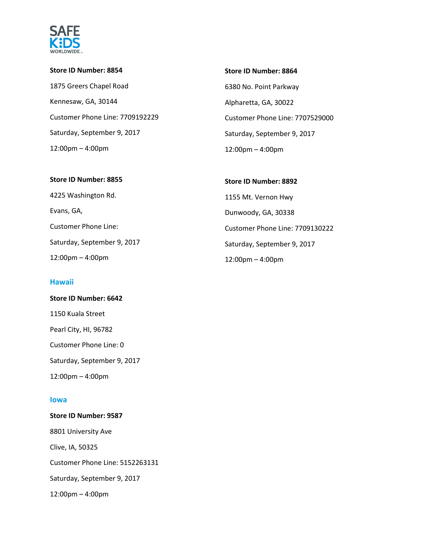

- **Store ID Number: 8854** 1875 Greers Chapel Road Kennesaw, GA, 30144 Customer Phone Line: 7709192229 Saturday, September 9, 2017 12:00pm – 4:00pm
- **Store ID Number: 8864** 6380 No. Point Parkway Alpharetta, GA, 30022 Customer Phone Line: 7707529000 Saturday, September 9, 2017 12:00pm – 4:00pm

#### **Store ID Number: 8855** 4225 Washington Rd. Evans, GA, Customer Phone Line: Saturday, September 9, 2017 12:00pm – 4:00pm **Store ID Number: 8892** 1155 Mt. Vernon Hwy Dunwoody, GA, 30338 Customer Phone Line: 7709130222 Saturday, September 9, 2017 12:00pm – 4:00pm

## **Hawaii**

**Store ID Number: 6642** 1150 Kuala Street Pearl City, HI, 96782 Customer Phone Line: 0 Saturday, September 9, 2017 12:00pm – 4:00pm

### **Iowa**

**Store ID Number: 9587** 8801 University Ave Clive, IA, 50325 Customer Phone Line: 5152263131 Saturday, September 9, 2017 12:00pm – 4:00pm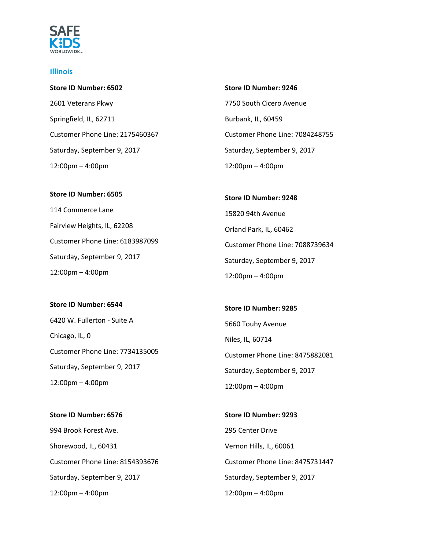

### **Illinois**

**Store ID Number: 6502** 2601 Veterans Pkwy Springfield, IL, 62711 Customer Phone Line: 2175460367 Saturday, September 9, 2017 12:00pm – 4:00pm

# **Store ID Number: 9246** 7750 South Cicero Avenue Burbank, IL, 60459 Customer Phone Line: 7084248755 Saturday, September 9, 2017 12:00pm – 4:00pm

#### **Store ID Number: 6505**

114 Commerce Lane Fairview Heights, IL, 62208 Customer Phone Line: 6183987099 Saturday, September 9, 2017 12:00pm – 4:00pm

### **Store ID Number: 6544**

6420 W. Fullerton - Suite A Chicago, IL, 0 Customer Phone Line: 7734135005 Saturday, September 9, 2017 12:00pm – 4:00pm

**Store ID Number: 6576** 994 Brook Forest Ave. Shorewood, IL, 60431 Customer Phone Line: 8154393676 Saturday, September 9, 2017 12:00pm – 4:00pm

**Store ID Number: 9248** 15820 94th Avenue Orland Park, IL, 60462 Customer Phone Line: 7088739634 Saturday, September 9, 2017 12:00pm – 4:00pm

## **Store ID Number: 9285** 5660 Touhy Avenue Niles, IL, 60714 Customer Phone Line: 8475882081 Saturday, September 9, 2017 12:00pm – 4:00pm

**Store ID Number: 9293** 295 Center Drive Vernon Hills, IL, 60061 Customer Phone Line: 8475731447 Saturday, September 9, 2017 12:00pm – 4:00pm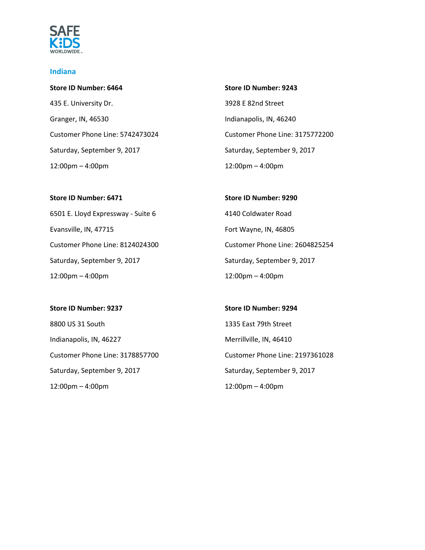

#### **Indiana**

**Store ID Number: 6464** 435 E. University Dr. Granger, IN, 46530 Customer Phone Line: 5742473024 Saturday, September 9, 2017 12:00pm – 4:00pm

**Store ID Number: 9243** 3928 E 82nd Street Indianapolis, IN, 46240 Customer Phone Line: 3175772200 Saturday, September 9, 2017 12:00pm – 4:00pm

#### **Store ID Number: 6471**

6501 E. Lloyd Expressway - Suite 6 Evansville, IN, 47715 Customer Phone Line: 8124024300 Saturday, September 9, 2017 12:00pm – 4:00pm

## **Store ID Number: 9290**

4140 Coldwater Road Fort Wayne, IN, 46805 Customer Phone Line: 2604825254 Saturday, September 9, 2017 12:00pm – 4:00pm

### **Store ID Number: 9237**

8800 US 31 South Indianapolis, IN, 46227 Customer Phone Line: 3178857700 Saturday, September 9, 2017 12:00pm – 4:00pm

## **Store ID Number: 9294**

1335 East 79th Street Merrillville, IN, 46410 Customer Phone Line: 2197361028 Saturday, September 9, 2017 12:00pm – 4:00pm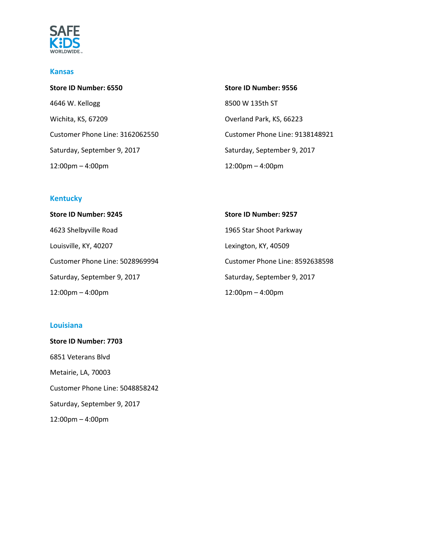

#### **Kansas**

| Store ID Number: 6550              | Store ID Number: 9556              |
|------------------------------------|------------------------------------|
| 4646 W. Kellogg                    | 8500 W 135th ST                    |
| Wichita, KS, 67209                 | Overland Park, KS, 66223           |
| Customer Phone Line: 3162062550    | Customer Phone Line: 9138148921    |
| Saturday, September 9, 2017        | Saturday, September 9, 2017        |
| $12:00 \text{pm} - 4:00 \text{pm}$ | $12:00 \text{pm} - 4:00 \text{pm}$ |

## **Kentucky**

| Store ID Number: 9245              | <b>Store ID Number: 9257</b>       |
|------------------------------------|------------------------------------|
| 4623 Shelbyville Road              | 1965 Star Shoot Parkway            |
| Louisville, KY, 40207              | Lexington, KY, 40509               |
| Customer Phone Line: 5028969994    | Customer Phone Line: 8592638598    |
| Saturday, September 9, 2017        | Saturday, September 9, 2017        |
| $12:00 \text{pm} - 4:00 \text{pm}$ | $12:00 \text{pm} - 4:00 \text{pm}$ |

## **Louisiana**

**Store ID Number: 7703** 6851 Veterans Blvd Metairie, LA, 70003 Customer Phone Line: 5048858242 Saturday, September 9, 2017 12:00pm – 4:00pm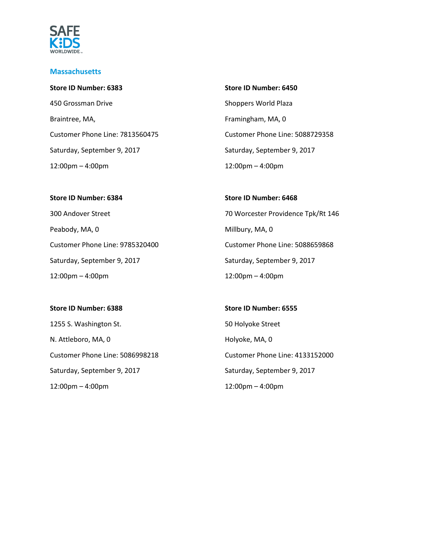

#### **Massachusetts**

| Store ID Number: 6383           | <b>Store ID Number</b>             |
|---------------------------------|------------------------------------|
| 450 Grossman Drive              | <b>Shoppers World</b>              |
| Braintree, MA,                  | Framingham, M.                     |
| Customer Phone Line: 7813560475 | <b>Customer Phone</b>              |
| Saturday, September 9, 2017     | Saturday, Septer                   |
| 12:00pm - 4:00pm                | $12:00 \text{pm} - 4:00 \text{pc}$ |

## **st: 6450** Plaza  $A, 0$ e Line: 5088729358 mber 9, 2017  $pm$

#### **Store ID Number: 6384**

300 Andover Street Peabody, MA, 0 Customer Phone Line: 9785320400 Saturday, September 9, 2017 12:00pm – 4:00pm

#### **Store ID Number: 6388**

1255 S. Washington St. N. Attleboro, MA, 0 Customer Phone Line: 5086998218 Saturday, September 9, 2017 12:00pm – 4:00pm

# **Store ID Number: 6468** 70 Worcester Providence Tpk/Rt 146 Millbury, MA, 0 Customer Phone Line: 5088659868 Saturday, September 9, 2017

12:00pm – 4:00pm

# **Store ID Number: 6555** 50 Holyoke Street Holyoke, MA, 0 Customer Phone Line: 4133152000 Saturday, September 9, 2017 12:00pm – 4:00pm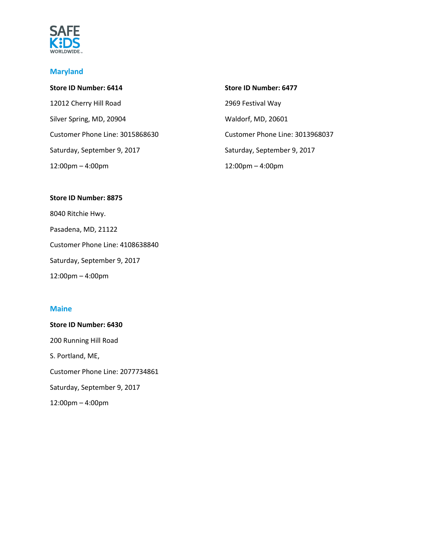

### **Maryland**

#### **Store ID Number: 6414** 12012 Cherry Hill Road Silver Spring, MD, 20904 Customer Phone Line: 3015868630 Saturday, September 9, 2017 12:00pm – 4:00pm **Store ID Number: 6477** 2969 Festival Way Waldorf, MD, 20601 Customer Phone Line: 3013968037 Saturday, September 9, 2017 12:00pm – 4:00pm

### **Store ID Number: 8875**

8040 Ritchie Hwy. Pasadena, MD, 21122 Customer Phone Line: 4108638840 Saturday, September 9, 2017 12:00pm – 4:00pm

### **Maine**

**Store ID Number: 6430** 200 Running Hill Road S. Portland, ME, Customer Phone Line: 2077734861 Saturday, September 9, 2017 12:00pm – 4:00pm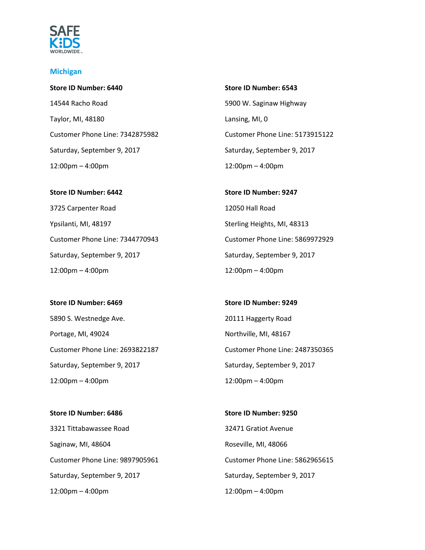

#### **Michigan**

**Store ID Number: 6440** 14544 Racho Road Taylor, MI, 48180 Customer Phone Line: 7342875982 Saturday, September 9, 2017 12:00pm – 4:00pm

#### **Store ID Number: 6442**

3725 Carpenter Road Ypsilanti, MI, 48197 Customer Phone Line: 7344770943 Saturday, September 9, 2017 12:00pm – 4:00pm

**Store ID Number: 6543** 5900 W. Saginaw Highway Lansing, MI, 0 Customer Phone Line: 5173915122 Saturday, September 9, 2017 12:00pm – 4:00pm

**Store ID Number: 9247** 12050 Hall Road Sterling Heights, MI, 48313 Customer Phone Line: 5869972929 Saturday, September 9, 2017 12:00pm – 4:00pm

**Store ID Number: 6469** 5890 S. Westnedge Ave. Portage, MI, 49024 Customer Phone Line: 2693822187 Saturday, September 9, 2017 12:00pm – 4:00pm

**Store ID Number: 6486** 3321 Tittabawassee Road Saginaw, MI, 48604 Customer Phone Line: 9897905961 Saturday, September 9, 2017 12:00pm – 4:00pm

**Store ID Number: 9249** 20111 Haggerty Road Northville, MI, 48167 Customer Phone Line: 2487350365 Saturday, September 9, 2017 12:00pm – 4:00pm

**Store ID Number: 9250** 32471 Gratiot Avenue Roseville, MI, 48066 Customer Phone Line: 5862965615 Saturday, September 9, 2017 12:00pm – 4:00pm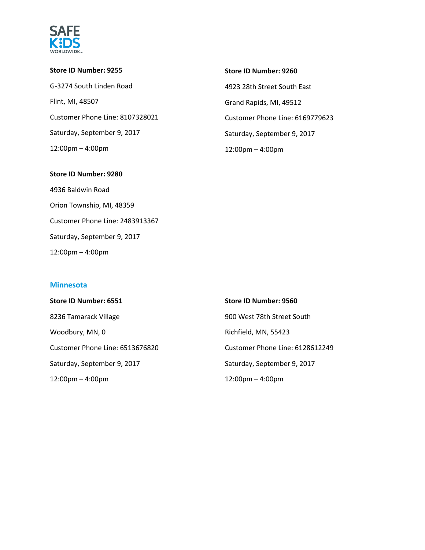

# **Store ID Number: 9255** G-3274 South Linden Road Flint, MI, 48507 Customer Phone Line: 8107328021 Saturday, September 9, 2017 12:00pm – 4:00pm

# **Store ID Number: 9260** 4923 28th Street South East Grand Rapids, MI, 49512 Customer Phone Line: 6169779623 Saturday, September 9, 2017 12:00pm – 4:00pm

#### **Store ID Number: 9280**

4936 Baldwin Road Orion Township, MI, 48359 Customer Phone Line: 2483913367 Saturday, September 9, 2017 12:00pm – 4:00pm

### **Minnesota**

**Store ID Number: 6551** 8236 Tamarack Village Woodbury, MN, 0 Customer Phone Line: 6513676820 Saturday, September 9, 2017 12:00pm – 4:00pm

**Store ID Number: 9560** 900 West 78th Street South Richfield, MN, 55423 Customer Phone Line: 6128612249 Saturday, September 9, 2017 12:00pm – 4:00pm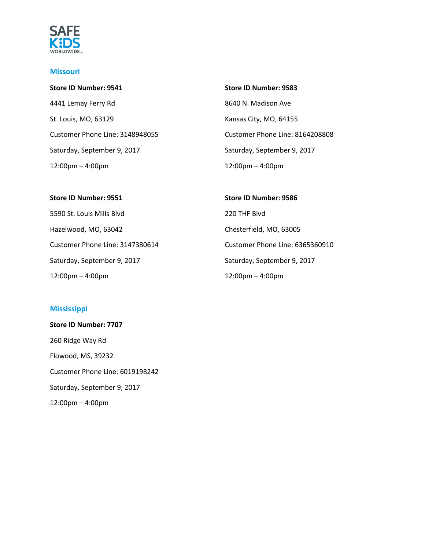

#### **Missouri**

| <b>Store ID Number: 9541</b>    | <b>Store ID Number</b>   |
|---------------------------------|--------------------------|
| 4441 Lemay Ferry Rd             | 8640 N. Madiso           |
| St. Louis, MO, 63129            | Kansas City, MC          |
| Customer Phone Line: 3148948055 | Customer Phon            |
| Saturday, September 9, 2017     | Saturday, Septe          |
| 12:00pm - 4:00pm                | $12:00 \text{pm} - 4:00$ |

# **Store ID Number: 9583** n Ave d, 64155 e Line: 8164208808 mber 9, 2017 pm

#### **Store ID Number: 9551**

5590 St. Louis Mills Blvd Hazelwood, MO, 63042 Customer Phone Line: 3147380614 Saturday, September 9, 2017 12:00pm – 4:00pm

## **Store ID Number: 9586**

220 THF Blvd Chesterfield, MO, 63005 Customer Phone Line: 6365360910 Saturday, September 9, 2017 12:00pm – 4:00pm

## **Mississippi**

**Store ID Number: 7707** 260 Ridge Way Rd Flowood, MS, 39232 Customer Phone Line: 6019198242 Saturday, September 9, 2017 12:00pm – 4:00pm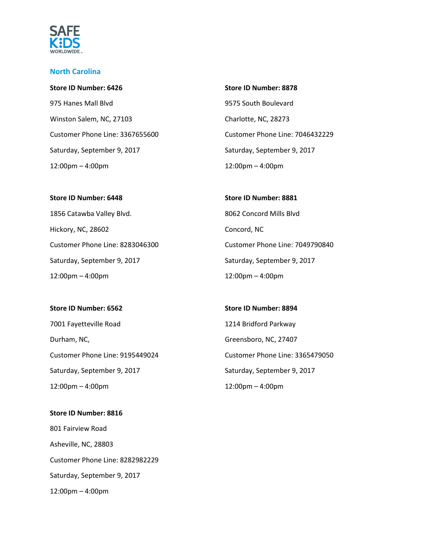

#### **North Carolina**

| <b>Store ID Number: 6426</b>    |  |
|---------------------------------|--|
| 975 Hanes Mall Blvd             |  |
| Winston Salem, NC, 27103        |  |
| Customer Phone Line: 3367655600 |  |
| Saturday, September 9, 2017     |  |
| $12:00$ pm $-4:00$ pm           |  |

# **Store ID Number: 8878** 9575 South Boulevard Charlotte, NC, 28273 Customer Phone Line: 7046432229 Saturday, September 9, 2017 12:00pm – 4:00pm

#### **Store ID Number: 6448**

1856 Catawba Valley Blvd. Hickory, NC, 28602 Customer Phone Line: 8283046300 Saturday, September 9, 2017 12:00pm – 4:00pm

## **Store ID Number: 8881**

8062 Concord Mills Blvd Concord, NC Customer Phone Line: 7049790840 Saturday, September 9, 2017 12:00pm – 4:00pm

## **Store ID Number: 6562**

7001 Fayetteville Road Durham, NC, Customer Phone Line: 9195449024 Saturday, September 9, 2017 12:00pm – 4:00pm

# **Store ID Number: 8816** 801 Fairview Road Asheville, NC, 28803 Customer Phone Line: 8282982229 Saturday, September 9, 2017 12:00pm – 4:00pm

**Store ID Number: 8894** 1214 Bridford Parkway Greensboro, NC, 27407 Customer Phone Line: 3365479050 Saturday, September 9, 2017 12:00pm – 4:00pm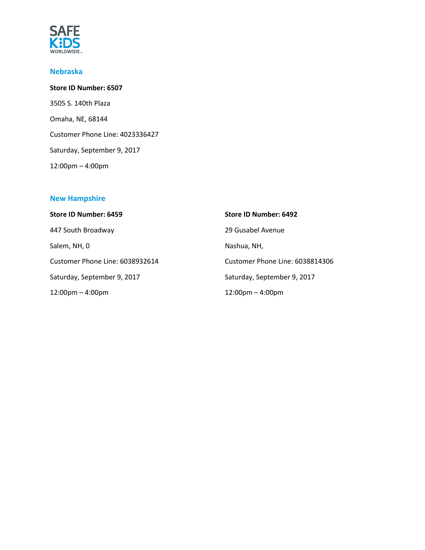

## **Nebraska**

**Store ID Number: 6507** 3505 S. 140th Plaza Omaha, NE, 68144 Customer Phone Line: 4023336427 Saturday, September 9, 2017 12:00pm – 4:00pm

## **New Hampshire**

| Store ID Number: 6459              | Store ID Number: 6492              |
|------------------------------------|------------------------------------|
| 447 South Broadway                 | 29 Gusabel Avenue                  |
| Salem, NH, 0                       | Nashua, NH,                        |
| Customer Phone Line: 6038932614    | Customer Phone Line: 6038814306    |
| Saturday, September 9, 2017        | Saturday, September 9, 2017        |
| $12:00 \text{pm} - 4:00 \text{pm}$ | $12:00 \text{pm} - 4:00 \text{pm}$ |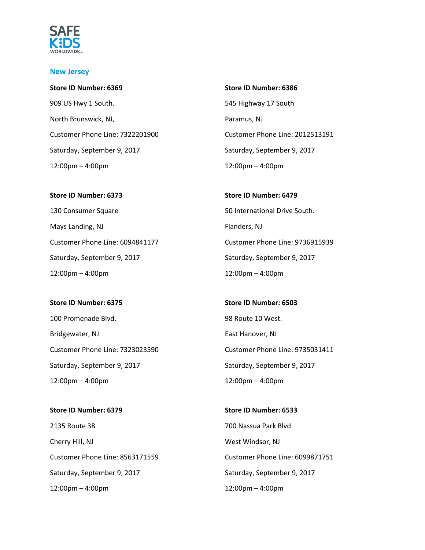

#### **New Jersey**

**Store ID Number: 6369** 909 US Hwy 1 South. North Brunswick, NJ, Customer Phone Line: 7322201900 Saturday, September 9, 2017 12:00pm – 4:00pm

#### **Store ID Number: 6373**

130 Consumer Square Mays Landing, NJ Customer Phone Line: 6094841177 Saturday, September 9, 2017 12:00pm – 4:00pm

### **Store ID Number: 6375**

100 Promenade Blvd. Bridgewater, NJ Customer Phone Line: 7323023590 Saturday, September 9, 2017 12:00pm – 4:00pm

**Store ID Number: 6379** 2135 Route 38 Cherry Hill, NJ Customer Phone Line: 8563171559 Saturday, September 9, 2017 12:00pm – 4:00pm

**Store ID Number: 6386** 545 Highway 17 South Paramus, NJ Customer Phone Line: 2012513191 Saturday, September 9, 2017 12:00pm – 4:00pm

**Store ID Number: 6479** 50 International Drive South.

Flanders, NJ Customer Phone Line: 9736915939 Saturday, September 9, 2017 12:00pm – 4:00pm

**Store ID Number: 6503** 98 Route 10 West. East Hanover, NJ Customer Phone Line: 9735031411 Saturday, September 9, 2017 12:00pm – 4:00pm

**Store ID Number: 6533** 700 Nassua Park Blvd West Windsor, NJ Customer Phone Line: 6099871751 Saturday, September 9, 2017 12:00pm – 4:00pm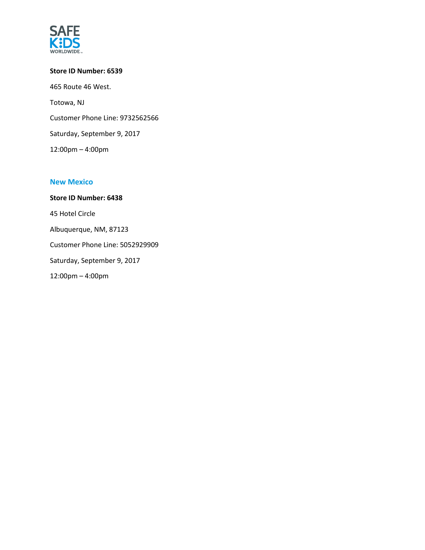

# **Store ID Number: 6539** 465 Route 46 West. Totowa, NJ Customer Phone Line: 9732562566 Saturday, September 9, 2017 12:00pm – 4:00pm

### **New Mexico**

**Store ID Number: 6438** 45 Hotel Circle Albuquerque, NM, 87123 Customer Phone Line: 5052929909 Saturday, September 9, 2017 12:00pm – 4:00pm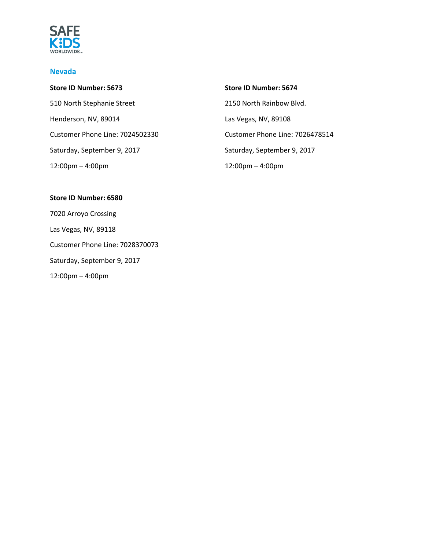

### **Nevada**

#### **Store ID Number: 5673**

510 North Stephanie Street Henderson, NV, 89014 Customer Phone Line: 7024502330 Saturday, September 9, 2017 12:00pm – 4:00pm

#### **Store ID Number: 5674**

2150 North Rainbow Blvd. Las Vegas, NV, 89108 Customer Phone Line: 7026478514 Saturday, September 9, 2017 12:00pm – 4:00pm

#### **Store ID Number: 6580**

7020 Arroyo Crossing Las Vegas, NV, 89118 Customer Phone Line: 7028370073 Saturday, September 9, 2017 12:00pm – 4:00pm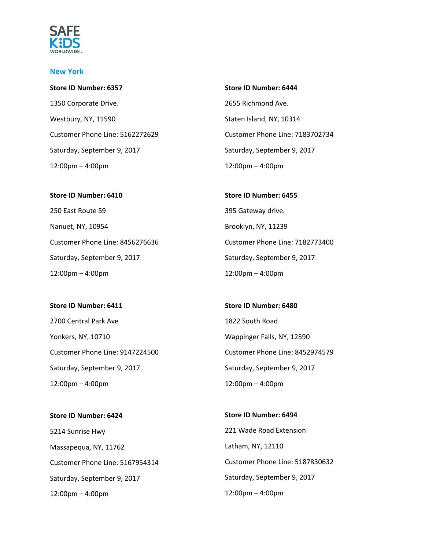

#### **New York**

**Store ID Number: 6357** 1350 Corporate Drive. Westbury, NY, 11590 Customer Phone Line: 5162272629 Saturday, September 9, 2017 12:00pm – 4:00pm

**Store ID Number: 6444** 2655 Richmond Ave. Staten Island, NY, 10314 Customer Phone Line: 7183702734 Saturday, September 9, 2017 12:00pm – 4:00pm

# **Store ID Number: 6410** 250 East Route 59 Nanuet, NY, 10954 Customer Phone Line: 8456276636 Saturday, September 9, 2017 12:00pm – 4:00pm

# **Store ID Number: 6411** 2700 Central Park Ave Yonkers, NY, 10710 Customer Phone Line: 9147224500

Saturday, September 9, 2017 12:00pm – 4:00pm

**Store ID Number: 6424** 5214 Sunrise Hwy Massapequa, NY, 11762 Customer Phone Line: 5167954314 Saturday, September 9, 2017 12:00pm – 4:00pm

# **Store ID Number: 6455** 395 Gateway drive. Brooklyn, NY, 11239 Customer Phone Line: 7182773400 Saturday, September 9, 2017 12:00pm – 4:00pm

# **Store ID Number: 6480** 1822 South Road Wappinger Falls, NY, 12590 Customer Phone Line: 8452974579 Saturday, September 9, 2017 12:00pm – 4:00pm

**Store ID Number: 6494** 221 Wade Road Extension Latham, NY, 12110 Customer Phone Line: 5187830632 Saturday, September 9, 2017 12:00pm – 4:00pm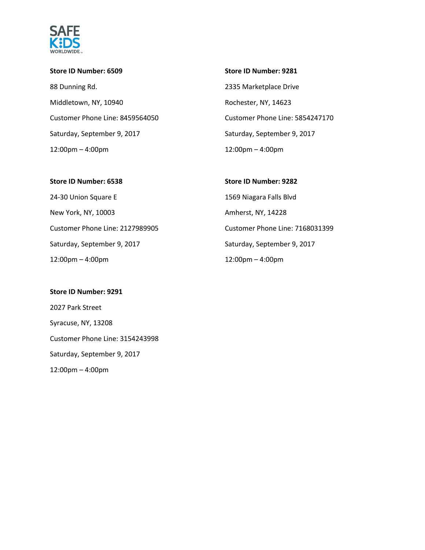

- **Store ID Number: 6509** 88 Dunning Rd. Middletown, NY, 10940 Customer Phone Line: 8459564050 Saturday, September 9, 2017 12:00pm – 4:00pm
- **Store ID Number: 9281** 2335 Marketplace Drive Rochester, NY, 14623 Customer Phone Line: 5854247170 Saturday, September 9, 2017 12:00pm – 4:00pm

# **Store ID Number: 6538** 24-30 Union Square E New York, NY, 10003 Customer Phone Line: 2127989905 Saturday, September 9, 2017

12:00pm – 4:00pm

## **Store ID Number: 9291**

2027 Park Street Syracuse, NY, 13208 Customer Phone Line: 3154243998 Saturday, September 9, 2017 12:00pm – 4:00pm

**Store ID Number: 9282** 1569 Niagara Falls Blvd Amherst, NY, 14228 Customer Phone Line: 7168031399 Saturday, September 9, 2017 12:00pm – 4:00pm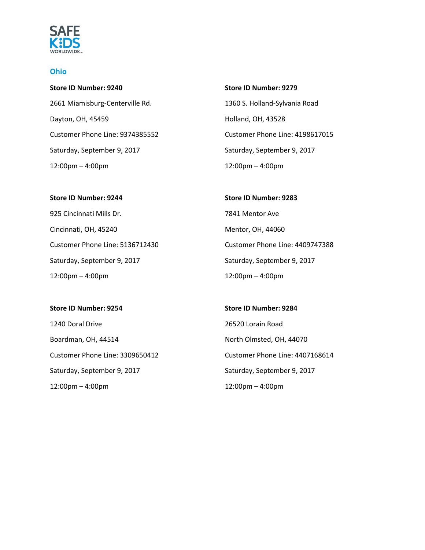

## **Ohio**

**Store ID Number: 9240** 2661 Miamisburg-Centerville Rd. Dayton, OH, 45459 Customer Phone Line: 9374385552 Saturday, September 9, 2017 12:00pm – 4:00pm

**Store ID Number: 9279** 1360 S. Holland-Sylvania Road Holland, OH, 43528 Customer Phone Line: 4198617015 Saturday, September 9, 2017 12:00pm – 4:00pm

#### **Store ID Number: 9244**

925 Cincinnati Mills Dr. Cincinnati, OH, 45240 Customer Phone Line: 5136712430 Saturday, September 9, 2017 12:00pm – 4:00pm

## **Store ID Number: 9283**

7841 Mentor Ave Mentor, OH, 44060 Customer Phone Line: 4409747388 Saturday, September 9, 2017 12:00pm – 4:00pm

### **Store ID Number: 9254**

1240 Doral Drive Boardman, OH, 44514 Customer Phone Line: 3309650412 Saturday, September 9, 2017 12:00pm – 4:00pm

**Store ID Number: 9284** 26520 Lorain Road North Olmsted, OH, 44070 Customer Phone Line: 4407168614 Saturday, September 9, 2017 12:00pm – 4:00pm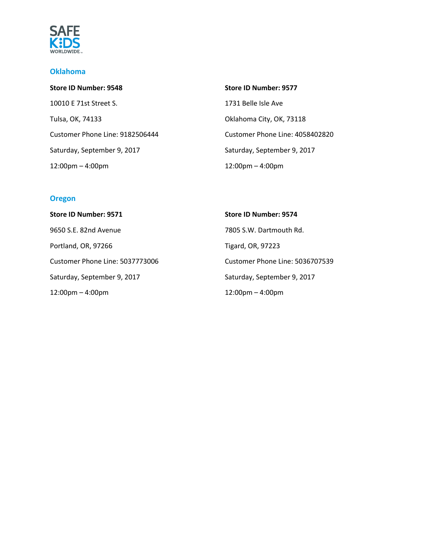

## **Oklahoma**

| <b>Store ID Number: 9548</b>       | Store ID Number: 9577              |
|------------------------------------|------------------------------------|
| 10010 E 71st Street S.             | 1731 Belle Isle Ave                |
| Tulsa, OK, 74133                   | Oklahoma City, OK, 73118           |
| Customer Phone Line: 9182506444    | Customer Phone Line: 4058402820    |
| Saturday, September 9, 2017        | Saturday, September 9, 2017        |
| $12:00 \text{pm} - 4:00 \text{pm}$ | $12:00 \text{pm} - 4:00 \text{pm}$ |

## **Oregon**

| Store ID Number: 9571              | Store ID Number: 9574              |
|------------------------------------|------------------------------------|
| 9650 S.E. 82nd Avenue              | 7805 S.W. Dartmouth Rd.            |
| Portland, OR, 97266                | Tigard, OR, 97223                  |
| Customer Phone Line: 5037773006    | Customer Phone Line: 5036707539    |
| Saturday, September 9, 2017        | Saturday, September 9, 2017        |
| $12:00 \text{pm} - 4:00 \text{pm}$ | $12:00 \text{pm} - 4:00 \text{pm}$ |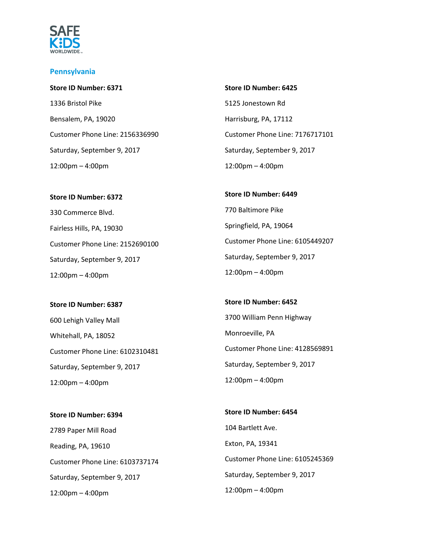

#### **Pennsylvania**

**Store ID Number: 6371** 1336 Bristol Pike Bensalem, PA, 19020 Customer Phone Line: 2156336990 Saturday, September 9, 2017 12:00pm – 4:00pm

**Store ID Number: 6372** 330 Commerce Blvd. Fairless Hills, PA, 19030 Customer Phone Line: 2152690100 Saturday, September 9, 2017 12:00pm – 4:00pm

**Store ID Number: 6387** 600 Lehigh Valley Mall Whitehall, PA, 18052 Customer Phone Line: 6102310481 Saturday, September 9, 2017 12:00pm – 4:00pm

**Store ID Number: 6394** 2789 Paper Mill Road Reading, PA, 19610 Customer Phone Line: 6103737174 Saturday, September 9, 2017 12:00pm – 4:00pm

**Store ID Number: 6425** 5125 Jonestown Rd Harrisburg, PA, 17112 Customer Phone Line: 7176717101 Saturday, September 9, 2017 12:00pm – 4:00pm

**Store ID Number: 6449** 770 Baltimore Pike Springfield, PA, 19064 Customer Phone Line: 6105449207 Saturday, September 9, 2017 12:00pm – 4:00pm

**Store ID Number: 6452** 3700 William Penn Highway Monroeville, PA Customer Phone Line: 4128569891 Saturday, September 9, 2017 12:00pm – 4:00pm

**Store ID Number: 6454** 104 Bartlett Ave. Exton, PA, 19341 Customer Phone Line: 6105245369 Saturday, September 9, 2017 12:00pm – 4:00pm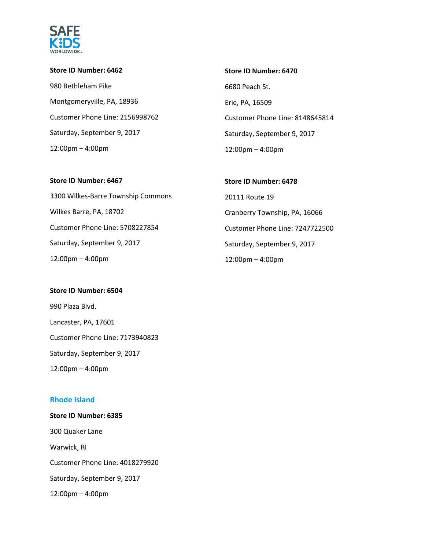

**Store ID Number: 6462** 980 Bethleham Pike Montgomeryville, PA, 18936 Customer Phone Line: 2156998762 Saturday, September 9, 2017 12:00pm – 4:00pm

**Store ID Number: 6470** 6680 Peach St. Erie, PA, 16509 Customer Phone Line: 8148645814 Saturday, September 9, 2017 12:00pm – 4:00pm

## **Store ID Number: 6467**

3300 Wilkes-Barre Township Commons Wilkes Barre, PA, 18702 Customer Phone Line: 5708227854 Saturday, September 9, 2017 12:00pm – 4:00pm

# **Store ID Number: 6504** 990 Plaza Blvd. Lancaster, PA, 17601 Customer Phone Line: 7173940823 Saturday, September 9, 2017 12:00pm – 4:00pm

## **Rhode Island**

**Store ID Number: 6385** 300 Quaker Lane Warwick, RI Customer Phone Line: 4018279920 Saturday, September 9, 2017 12:00pm – 4:00pm

**Store ID Number: 6478** 20111 Route 19 Cranberry Township, PA, 16066 Customer Phone Line: 7247722500 Saturday, September 9, 2017 12:00pm – 4:00pm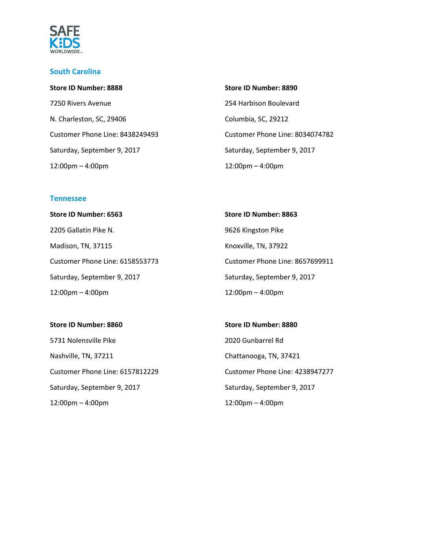

### **South Carolina**

| Store ID Number: 8888              | Store ID Number: 8890              |
|------------------------------------|------------------------------------|
| 7250 Rivers Avenue                 | 254 Harbison Boulevard             |
| N. Charleston, SC, 29406           | Columbia, SC, 29212                |
| Customer Phone Line: 8438249493    | Customer Phone Line: 8034074782    |
| Saturday, September 9, 2017        | Saturday, September 9, 2017        |
| $12:00 \text{pm} - 4:00 \text{pm}$ | $12:00 \text{pm} - 4:00 \text{pm}$ |

### **Tennessee**

| Store ID Number: 6563              | Store ID Number: 8863              |
|------------------------------------|------------------------------------|
| 2205 Gallatin Pike N.              | 9626 Kingston Pike                 |
| Madison, TN, 37115                 | Knoxville, TN, 37922               |
| Customer Phone Line: 6158553773    | Customer Phone Line: 8657699911    |
| Saturday, September 9, 2017        | Saturday, September 9, 2017        |
| $12:00 \text{pm} - 4:00 \text{pm}$ | $12:00 \text{pm} - 4:00 \text{pm}$ |

### **Store ID Number: 8860**

5731 Nolensville Pike Nashville, TN, 37211 Customer Phone Line: 6157812229 Saturday, September 9, 2017 12:00pm – 4:00pm

**Store ID Number: 8880** 2020 Gunbarrel Rd Chattanooga, TN, 37421 Customer Phone Line: 4238947277 Saturday, September 9, 2017 12:00pm – 4:00pm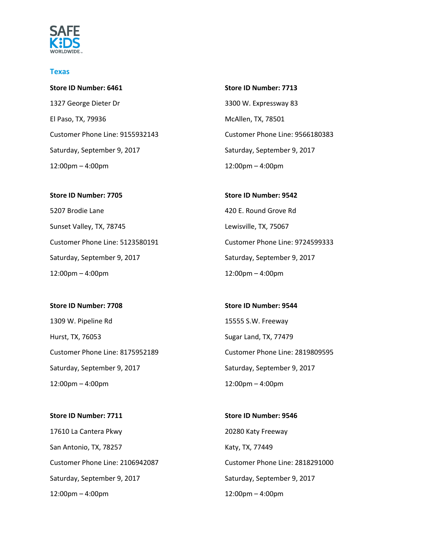

#### **Texas**

**Store ID Number: 6461** 1327 George Dieter Dr El Paso, TX, 79936 Customer Phone Line: 9155932143 Saturday, September 9, 2017 12:00pm – 4:00pm

**Store ID Number: 7713** 3300 W. Expressway 83 McAllen, TX, 78501 Customer Phone Line: 9566180383 Saturday, September 9, 2017

12:00pm – 4:00pm

**Store ID Number: 7705** 5207 Brodie Lane Sunset Valley, TX, 78745 Customer Phone Line: 5123580191 Saturday, September 9, 2017 12:00pm – 4:00pm

**Store ID Number: 7708** 1309 W. Pipeline Rd Hurst, TX, 76053 Customer Phone Line: 8175952189 Saturday, September 9, 2017 12:00pm – 4:00pm

**Store ID Number: 7711** 17610 La Cantera Pkwy San Antonio, TX, 78257 Customer Phone Line: 2106942087 Saturday, September 9, 2017 12:00pm – 4:00pm

**Store ID Number: 9542** 420 E. Round Grove Rd Lewisville, TX, 75067 Customer Phone Line: 9724599333 Saturday, September 9, 2017 12:00pm – 4:00pm

**Store ID Number: 9544** 15555 S.W. Freeway Sugar Land, TX, 77479 Customer Phone Line: 2819809595 Saturday, September 9, 2017 12:00pm – 4:00pm

**Store ID Number: 9546** 20280 Katy Freeway Katy, TX, 77449 Customer Phone Line: 2818291000 Saturday, September 9, 2017 12:00pm – 4:00pm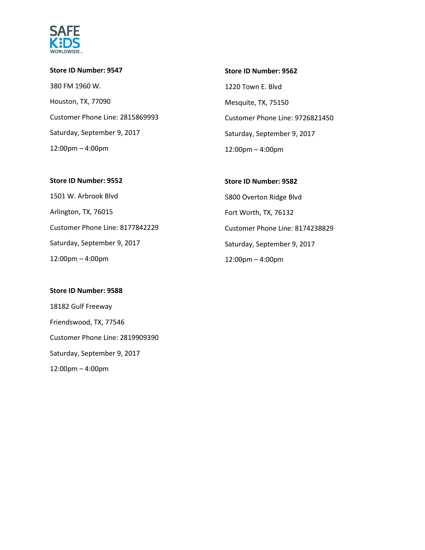

**Store ID Number: 9547** 380 FM 1960 W. Houston, TX, 77090 Customer Phone Line: 2815869993 Saturday, September 9, 2017 12:00pm – 4:00pm

**Store ID Number: 9562** 1220 Town E. Blvd Mesquite, TX, 75150 Customer Phone Line: 9726821450 Saturday, September 9, 2017 12:00pm – 4:00pm

# **Store ID Number: 9552** 1501 W. Arbrook Blvd Arlington, TX, 76015 Customer Phone Line: 8177842229 Saturday, September 9, 2017 12:00pm – 4:00pm

### **Store ID Number: 9588**

18182 Gulf Freeway Friendswood, TX, 77546 Customer Phone Line: 2819909390 Saturday, September 9, 2017 12:00pm – 4:00pm

**Store ID Number: 9582** 5800 Overton Ridge Blvd Fort Worth, TX, 76132 Customer Phone Line: 8174238829 Saturday, September 9, 2017 12:00pm – 4:00pm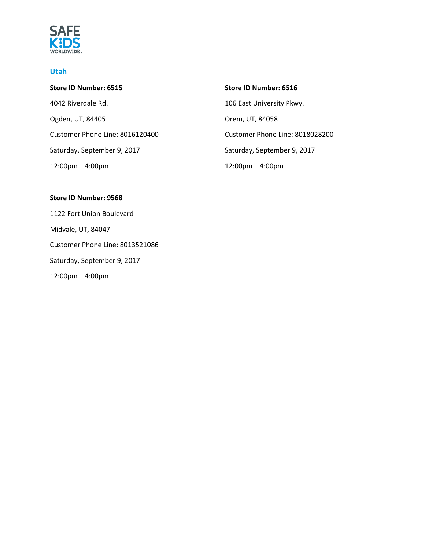

## **Utah**

# **Store ID Number: 6515** 4042 Riverdale Rd. Ogden, UT, 84405 Customer Phone Line: 8016120400 Saturday, September 9, 2017 12:00pm – 4:00pm

## **Store ID Number: 6516**

106 East University Pkwy. Orem, UT, 84058 Customer Phone Line: 8018028200 Saturday, September 9, 2017 12:00pm – 4:00pm

### **Store ID Number: 9568**

1122 Fort Union Boulevard Midvale, UT, 84047 Customer Phone Line: 8013521086 Saturday, September 9, 2017 12:00pm – 4:00pm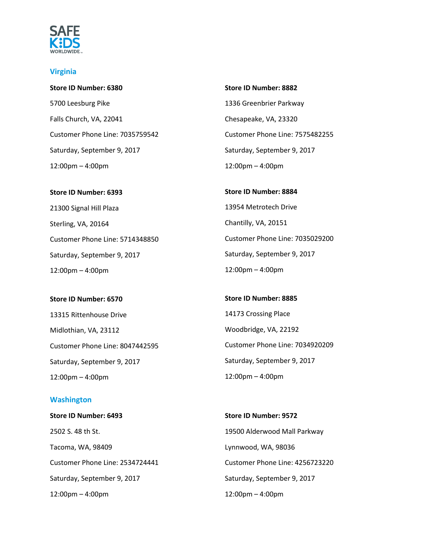

## **Virginia**

**Store ID Number: 6380** 5700 Leesburg Pike Falls Church, VA, 22041 Customer Phone Line: 7035759542 Saturday, September 9, 2017 12:00pm – 4:00pm

**Store ID Number: 6393** 21300 Signal Hill Plaza Sterling, VA, 20164 Customer Phone Line: 5714348850 Saturday, September 9, 2017 12:00pm – 4:00pm

**Store ID Number: 6570** 13315 Rittenhouse Drive Midlothian, VA, 23112 Customer Phone Line: 8047442595 Saturday, September 9, 2017 12:00pm – 4:00pm

### **Washington**

**Store ID Number: 6493** 2502 S. 48 th St. Tacoma, WA, 98409 Customer Phone Line: 2534724441 Saturday, September 9, 2017 12:00pm – 4:00pm

**Store ID Number: 8882** 1336 Greenbrier Parkway Chesapeake, VA, 23320 Customer Phone Line: 7575482255 Saturday, September 9, 2017 12:00pm – 4:00pm

**Store ID Number: 8884** 13954 Metrotech Drive Chantilly, VA, 20151 Customer Phone Line: 7035029200 Saturday, September 9, 2017 12:00pm – 4:00pm

**Store ID Number: 8885** 14173 Crossing Place Woodbridge, VA, 22192 Customer Phone Line: 7034920209 Saturday, September 9, 2017 12:00pm – 4:00pm

**Store ID Number: 9572** 19500 Alderwood Mall Parkway Lynnwood, WA, 98036 Customer Phone Line: 4256723220 Saturday, September 9, 2017 12:00pm – 4:00pm